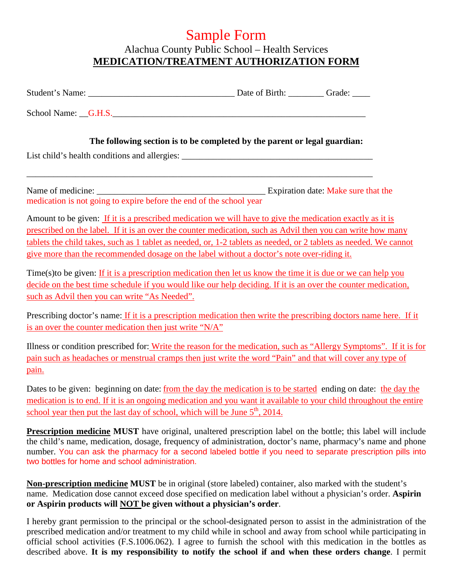## Sample Form

## Alachua County Public School – Health Services **MEDICATION/TREATMENT AUTHORIZATION FORM**

| <b>Student's Name:</b> | Date of Birth: |  |
|------------------------|----------------|--|
|                        |                |  |

School Name: \_\_G.H.S.

## **The following section is to be completed by the parent or legal guardian:**

List child's health conditions and allergies:

Name of medicine: \_\_\_\_\_\_\_\_\_\_\_\_\_\_\_\_\_\_\_\_\_\_\_\_\_\_\_\_\_\_\_\_\_\_\_\_\_\_ Expiration date: Make sure that the medication is not going to expire before the end of the school year

\_\_\_\_\_\_\_\_\_\_\_\_\_\_\_\_\_\_\_\_\_\_\_\_\_\_\_\_\_\_\_\_\_\_\_\_\_\_\_\_\_\_\_\_\_\_\_\_\_\_\_\_\_\_\_\_\_\_\_\_\_\_\_\_\_\_\_\_\_\_\_\_\_\_\_\_\_\_

Amount to be given: If it is a prescribed medication we will have to give the medication exactly as it is prescribed on the label. If it is an over the counter medication, such as Advil then you can write how many tablets the child takes, such as 1 tablet as needed, or, 1-2 tablets as needed, or 2 tablets as needed. We cannot give more than the recommended dosage on the label without a doctor's note over-riding it.

Time(s)to be given: If it is a prescription medication then let us know the time it is due or we can help you decide on the best time schedule if you would like our help deciding. If it is an over the counter medication, such as Advil then you can write "As Needed".

Prescribing doctor's name: If it is a prescription medication then write the prescribing doctors name here. If it is an over the counter medication then just write "N/A"

Illness or condition prescribed for: Write the reason for the medication, such as "Allergy Symptoms". If it is for pain such as headaches or menstrual cramps then just write the word "Pain" and that will cover any type of pain.

Dates to be given: beginning on date: from the day the medication is to be started ending on date: the day the medication is to end. If it is an ongoing medication and you want it available to your child throughout the entire school year then put the last day of school, which will be June  $5<sup>th</sup>$ , 2014.

**Prescription medicine MUST** have original, unaltered prescription label on the bottle; this label will include the child's name, medication, dosage, frequency of administration, doctor's name, pharmacy's name and phone number. You can ask the pharmacy for a second labeled bottle if you need to separate prescription pills into two bottles for home and school administration.

**Non-prescription medicine MUST** be in original (store labeled) container, also marked with the student's name. Medication dose cannot exceed dose specified on medication label without a physician's order. **Aspirin or Aspirin products will NOT be given without a physician's order**.

I hereby grant permission to the principal or the school-designated person to assist in the administration of the prescribed medication and/or treatment to my child while in school and away from school while participating in official school activities (F.S.1006.062). I agree to furnish the school with this medication in the bottles as described above. **It is my responsibility to notify the school if and when these orders change**. I permit